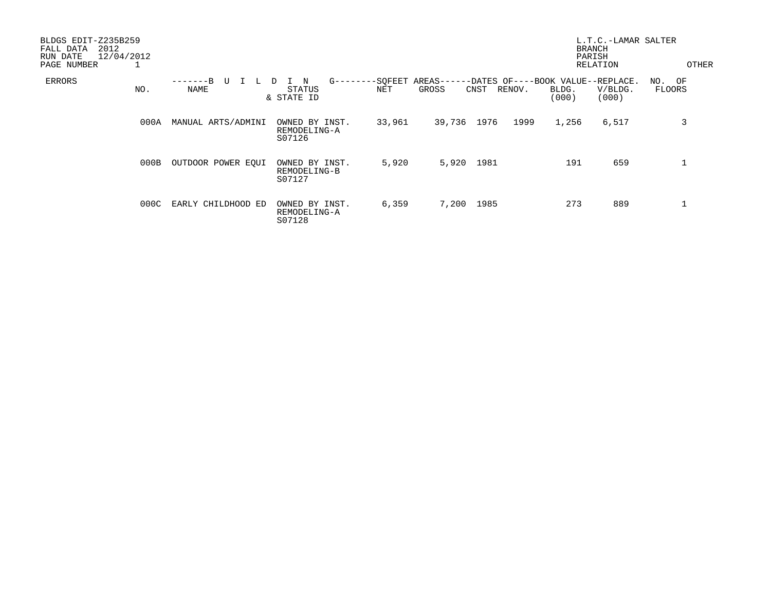| BLDGS EDIT-Z235B259<br>2012<br>FALL DATA<br>12/04/2012<br>RUN DATE<br>PAGE NUMBER<br>⊥ |                     |                                                   |        |                                                              |              |                | L.T.C.-LAMAR SALTER<br><b>BRANCH</b><br>PARISH<br>RELATION | OTHER                   |
|----------------------------------------------------------------------------------------|---------------------|---------------------------------------------------|--------|--------------------------------------------------------------|--------------|----------------|------------------------------------------------------------|-------------------------|
| ERRORS<br>NO.                                                                          | $---B$<br>U<br>NAME | $G------SOFEET$<br>N<br>D<br>STATUS<br>& STATE ID | NET    | AREAS------DATES OF----BOOK VALUE--REPLACE.<br>GROSS<br>CNST | RENOV.       | BLDG.<br>(000) | V/BLDG.<br>(000)                                           | NO. OF<br><b>FLOORS</b> |
| 000A                                                                                   | MANUAL ARTS/ADMINI  | OWNED BY INST.<br>REMODELING-A<br>S07126          | 33,961 | 39,736                                                       | 1976<br>1999 | 1,256          | 6,517                                                      | 3                       |
| 000B                                                                                   | OUTDOOR POWER EQUI  | OWNED BY INST.<br>REMODELING-B<br>S07127          | 5,920  | 5,920                                                        | 1981         | 191            | 659                                                        |                         |
| 000C                                                                                   | EARLY CHILDHOOD ED  | OWNED BY INST.<br>REMODELING-A<br>S07128          | 6,359  | 7,200                                                        | 1985         | 273            | 889                                                        |                         |